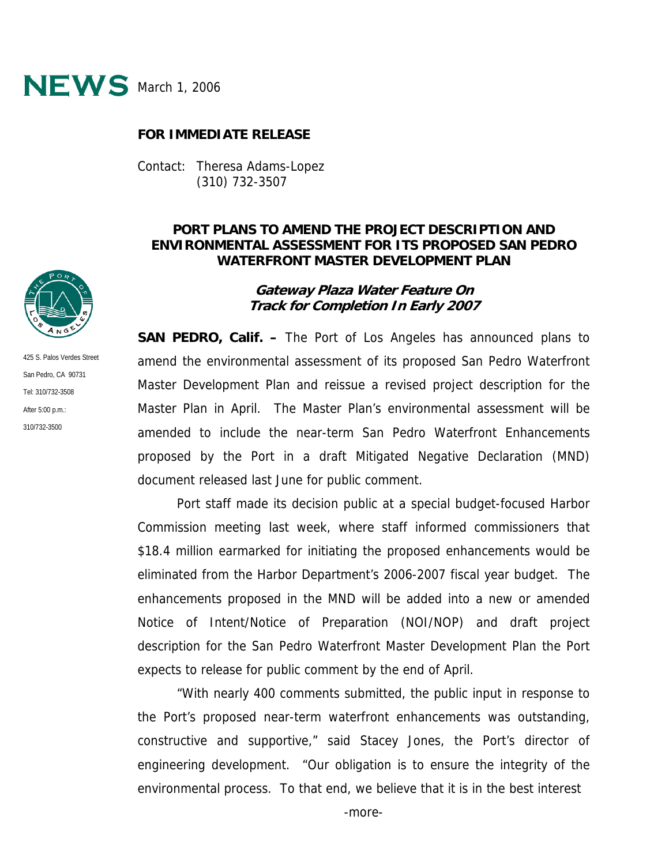

## **FOR IMMEDIATE RELEASE**

Contact: Theresa Adams-Lopez (310) 732-3507

# **PORT PLANS TO AMEND THE PROJECT DESCRIPTION AND ENVIRONMENTAL ASSESSMENT FOR ITS PROPOSED SAN PEDRO WATERFRONT MASTER DEVELOPMENT PLAN**

#### **Gateway Plaza Water Feature On Track for Completion In Early 2007**

**SAN PEDRO, Calif. –** The Port of Los Angeles has announced plans to amend the environmental assessment of its proposed San Pedro Waterfront Master Development Plan and reissue a revised project description for the Master Plan in April. The Master Plan's environmental assessment will be amended to include the near-term San Pedro Waterfront Enhancements proposed by the Port in a draft Mitigated Negative Declaration (MND) document released last June for public comment.

Port staff made its decision public at a special budget-focused Harbor Commission meeting last week, where staff informed commissioners that \$18.4 million earmarked for initiating the proposed enhancements would be eliminated from the Harbor Department's 2006-2007 fiscal year budget. The enhancements proposed in the MND will be added into a new or amended Notice of Intent/Notice of Preparation (NOI/NOP) and draft project description for the San Pedro Waterfront Master Development Plan the Port expects to release for public comment by the end of April.

"With nearly 400 comments submitted, the public input in response to the Port's proposed near-term waterfront enhancements was outstanding, constructive and supportive," said Stacey Jones, the Port's director of engineering development. "Our obligation is to ensure the integrity of the environmental process. To that end, we believe that it is in the best interest



425 S. Palos Verdes Street San Pedro, CA 90731 Tel: 310/732-3508 After 5:00 p.m.: 310/732-3500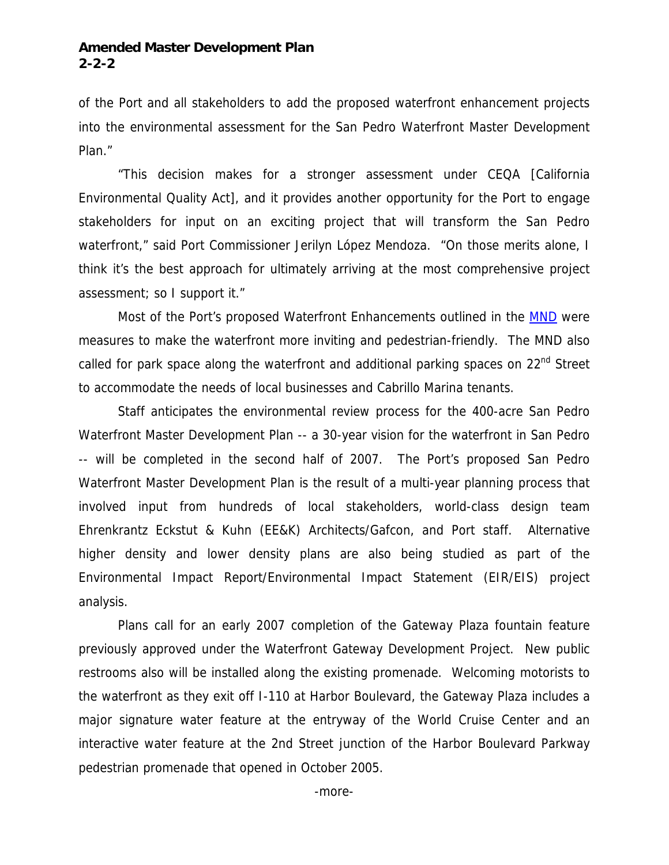## **Amended Master Development Plan 2-2-2**

of the Port and all stakeholders to add the proposed waterfront enhancement projects into the environmental assessment for the San Pedro Waterfront Master Development Plan."

"This decision makes for a stronger assessment under CEQA [California Environmental Quality Act], and it provides another opportunity for the Port to engage stakeholders for input on an exciting project that will transform the San Pedro waterfront," said Port Commissioner Jerilyn López Mendoza. "On those merits alone, I think it's the best approach for ultimately arriving at the most comprehensive project assessment; so I support it."

Most of the Port's proposed Waterfront Enhancements outlined in the **[MND](http://www.portoflosangeles.org/environment_pn.htm#Waterfront)** were measures to make the waterfront more inviting and pedestrian-friendly. The MND also called for park space along the waterfront and additional parking spaces on  $22^{nd}$  Street to accommodate the needs of local businesses and Cabrillo Marina tenants.

Staff anticipates the environmental review process for the 400-acre San Pedro Waterfront Master Development Plan -- a 30-year vision for the waterfront in San Pedro -- will be completed in the second half of 2007. The Port's proposed San Pedro Waterfront Master Development Plan is the result of a multi-year planning process that involved input from hundreds of local stakeholders, world-class design team Ehrenkrantz Eckstut & Kuhn (EE&K) Architects/Gafcon, and Port staff. Alternative higher density and lower density plans are also being studied as part of the Environmental Impact Report/Environmental Impact Statement (EIR/EIS) project analysis.

Plans call for an early 2007 completion of the Gateway Plaza fountain feature previously approved under the Waterfront Gateway Development Project. New public restrooms also will be installed along the existing promenade. Welcoming motorists to the waterfront as they exit off I-110 at Harbor Boulevard, the Gateway Plaza includes a major signature water feature at the entryway of the World Cruise Center and an interactive water feature at the 2nd Street junction of the Harbor Boulevard Parkway pedestrian promenade that opened in October 2005.

-more-